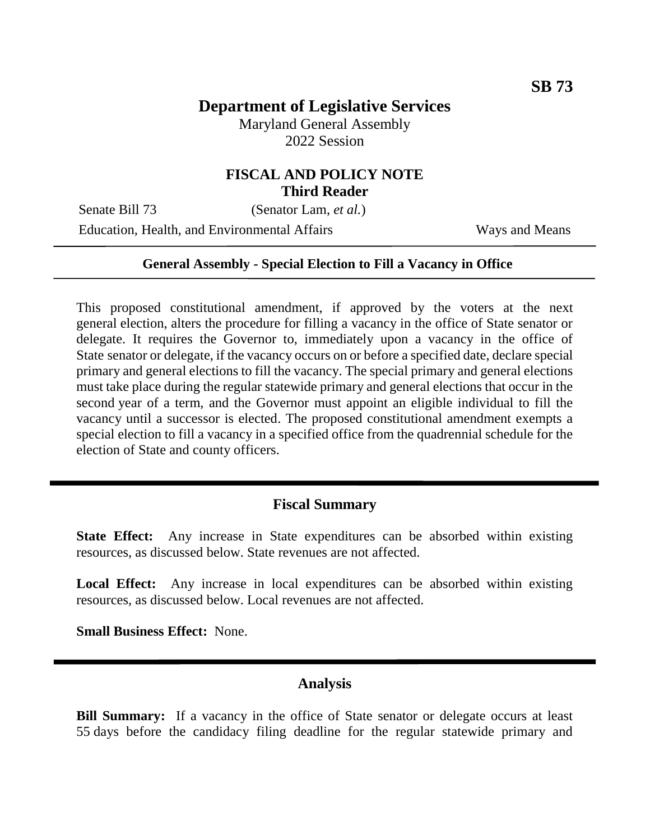# **Department of Legislative Services**

Maryland General Assembly 2022 Session

### **FISCAL AND POLICY NOTE Third Reader**

Senate Bill 73 (Senator Lam, *et al.*)

Education, Health, and Environmental Affairs Ways and Means

#### **General Assembly - Special Election to Fill a Vacancy in Office**

This proposed constitutional amendment, if approved by the voters at the next general election, alters the procedure for filling a vacancy in the office of State senator or delegate. It requires the Governor to, immediately upon a vacancy in the office of State senator or delegate, if the vacancy occurs on or before a specified date, declare special primary and general elections to fill the vacancy. The special primary and general elections must take place during the regular statewide primary and general elections that occur in the second year of a term, and the Governor must appoint an eligible individual to fill the vacancy until a successor is elected. The proposed constitutional amendment exempts a special election to fill a vacancy in a specified office from the quadrennial schedule for the election of State and county officers.

# **Fiscal Summary**

**State Effect:** Any increase in State expenditures can be absorbed within existing resources, as discussed below. State revenues are not affected.

**Local Effect:** Any increase in local expenditures can be absorbed within existing resources, as discussed below. Local revenues are not affected.

**Small Business Effect:** None.

#### **Analysis**

**Bill Summary:** If a vacancy in the office of State senator or delegate occurs at least 55 days before the candidacy filing deadline for the regular statewide primary and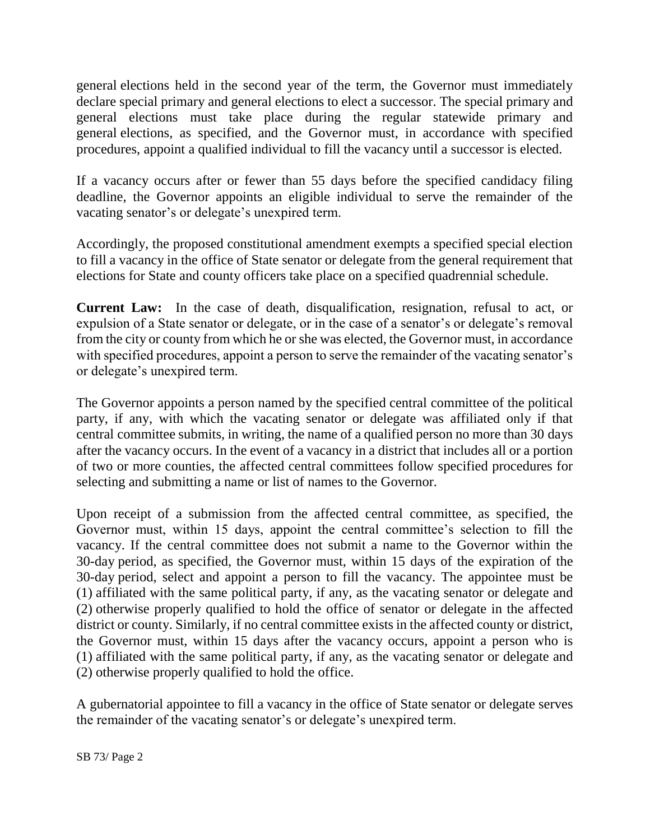general elections held in the second year of the term, the Governor must immediately declare special primary and general elections to elect a successor. The special primary and general elections must take place during the regular statewide primary and general elections, as specified, and the Governor must, in accordance with specified procedures, appoint a qualified individual to fill the vacancy until a successor is elected.

If a vacancy occurs after or fewer than 55 days before the specified candidacy filing deadline, the Governor appoints an eligible individual to serve the remainder of the vacating senator's or delegate's unexpired term.

Accordingly, the proposed constitutional amendment exempts a specified special election to fill a vacancy in the office of State senator or delegate from the general requirement that elections for State and county officers take place on a specified quadrennial schedule.

**Current Law:** In the case of death, disqualification, resignation, refusal to act, or expulsion of a State senator or delegate, or in the case of a senator's or delegate's removal from the city or county from which he or she was elected, the Governor must, in accordance with specified procedures, appoint a person to serve the remainder of the vacating senator's or delegate's unexpired term.

The Governor appoints a person named by the specified central committee of the political party, if any, with which the vacating senator or delegate was affiliated only if that central committee submits, in writing, the name of a qualified person no more than 30 days after the vacancy occurs. In the event of a vacancy in a district that includes all or a portion of two or more counties, the affected central committees follow specified procedures for selecting and submitting a name or list of names to the Governor.

Upon receipt of a submission from the affected central committee, as specified, the Governor must, within 15 days, appoint the central committee's selection to fill the vacancy. If the central committee does not submit a name to the Governor within the 30-day period, as specified, the Governor must, within 15 days of the expiration of the 30-day period, select and appoint a person to fill the vacancy. The appointee must be (1) affiliated with the same political party, if any, as the vacating senator or delegate and (2) otherwise properly qualified to hold the office of senator or delegate in the affected district or county. Similarly, if no central committee exists in the affected county or district, the Governor must, within 15 days after the vacancy occurs, appoint a person who is (1) affiliated with the same political party, if any, as the vacating senator or delegate and (2) otherwise properly qualified to hold the office.

A gubernatorial appointee to fill a vacancy in the office of State senator or delegate serves the remainder of the vacating senator's or delegate's unexpired term.